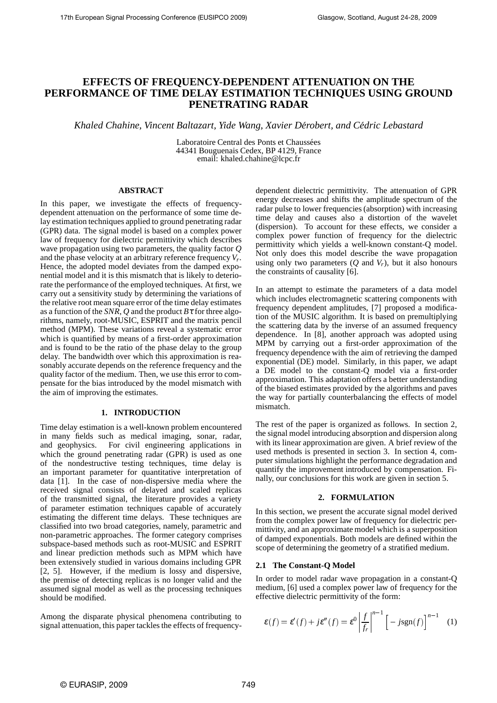# **EFFECTS OF FREQUENCY-DEPENDENT ATTENUATION ON THE PERFORMANCE OF TIME DELAY ESTIMATION TECHNIQUES USING GROUND PENETRATING RADAR**

*Khaled Chahine, Vincent Baltazart, Yide Wang, Xavier Derobert, and C ´ edric Lebastard ´*

Laboratoire Central des Ponts et Chaussées 44341 Bouguenais Cedex, BP 4129, France email: khaled.chahine@lcpc.fr

### **ABSTRACT**

In this paper, we investigate the effects of frequencydependent attenuation on the performance of some time delay estimation techniques applied to ground penetrating radar (GPR) data. The signal model is based on a complex power law of frequency for dielectric permittivity which describes wave propagation using two parameters, the quality factor *Q* and the phase velocity at an arbitrary reference frequency*V<sup>r</sup>* . Hence, the adopted model deviates from the damped exponential model and it is this mismatch that is likely to deteriorate the performance of the employed techniques. At first, we carry out a sensitivity study by determining the variations of the relative root mean square error of the time delay estimates as a function of the *SNR*, *Q* and the product  $B\tau$  for three algorithms, namely, root-MUSIC, ESPRIT and the matrix pencil method (MPM). These variations reveal a systematic error which is quantified by means of a first-order approximation and is found to be the ratio of the phase delay to the group delay. The bandwidth over which this approximation is reasonably accurate depends on the reference frequency and the quality factor of the medium. Then, we use this error to compensate for the bias introduced by the model mismatch with the aim of improving the estimates.

### **1. INTRODUCTION**

Time delay estimation is a well-known problem encountered in many fields such as medical imaging, sonar, radar, and geophysics. For civil engineering applications in which the ground penetrating radar (GPR) is used as one of the nondestructive testing techniques, time delay is an important parameter for quantitative interpretation of data [1]. In the case of non-dispersive media where the received signal consists of delayed and scaled replicas of the transmitted signal, the literature provides a variety of parameter estimation techniques capable of accurately estimating the different time delays. These techniques are classified into two broad categories, namely, parametric and non-parametric approaches. The former category comprises subspace-based methods such as root-MUSIC and ESPRIT and linear prediction methods such as MPM which have been extensively studied in various domains including GPR [2, 5]. However, if the medium is lossy and dispersive, the premise of detecting replicas is no longer valid and the assumed signal model as well as the processing techniques should be modified.

Among the disparate physical phenomena contributing to signal attenuation, this paper tackles the effects of frequencydependent dielectric permittivity. The attenuation of GPR energy decreases and shifts the amplitude spectrum of the radar pulse to lower frequencies (absorption) with increasing time delay and causes also a distortion of the wavelet (dispersion). To account for these effects, we consider a complex power function of frequency for the dielectric permittivity which yields a well-known constant-Q model. Not only does this model describe the wave propagation using only two parameters  $(Q \text{ and } V_r)$ , but it also honours the constraints of causality [6].

In an attempt to estimate the parameters of a data model which includes electromagnetic scattering components with frequency dependent amplitudes, [7] proposed a modification of the MUSIC algorithm. It is based on premultiplying the scattering data by the inverse of an assumed frequency dependence. In [8], another approach was adopted using MPM by carrying out a first-order approximation of the frequency dependence with the aim of retrieving the damped exponential (DE) model. Similarly, in this paper, we adapt a DE model to the constant-Q model via a first-order approximation. This adaptation offers a better understanding of the biased estimates provided by the algorithms and paves the way for partially counterbalancing the effects of model mismatch.

The rest of the paper is organized as follows. In section 2, the signal model introducing absorption and dispersion along with its linear approximation are given. A brief review of the used methods is presented in section 3. In section 4, computer simulations highlight the performance degradation and quantify the improvement introduced by compensation. Finally, our conclusions for this work are given in section 5.

# **2. FORMULATION**

In this section, we present the accurate signal model derived from the complex power law of frequency for dielectric permittivity, and an approximate model which is a superposition of damped exponentials. Both models are defined within the scope of determining the geometry of a stratified medium.

## **2.1 The Constant-Q Model**

In order to model radar wave propagation in a constant-Q medium, [6] used a complex power law of frequency for the effective dielectric permittivity of the form:

$$
\varepsilon(f) = \varepsilon'(f) + j\varepsilon''(f) = \varepsilon^0 \left| \frac{f}{f_r} \right|^{n-1} \left[ -j \operatorname{sgn}(f) \right]^{n-1} \tag{1}
$$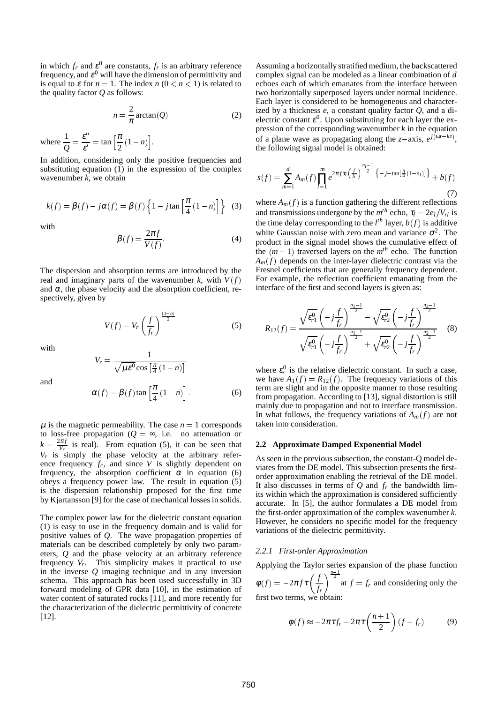in which  $f_r$  and  $\xi^0$  are constants,  $f_r$  is an arbitrary reference frequency, and  $\varepsilon^0$  will have the dimension of permittivity and is equal to  $\varepsilon$  for  $n = 1$ . The index  $n (0 < n < 1)$  is related to the quality factor *Q* as follows:

$$
n = \frac{2}{\pi} \arctan(Q) \tag{2}
$$

where  $\frac{1}{Q} = \frac{\varepsilon''}{\varepsilon'}$  $\frac{\varepsilon^{\prime\prime}}{\varepsilon^{\prime}} = \tan \left[ \frac{\pi}{2} \right]$  $\frac{\pi}{2}(1-n)\right].$ 

In addition, considering only the positive frequencies and substituting equation (1) in the expression of the complex wavenumber *k*, we obtain

$$
k(f) = \beta(f) - j\alpha(f) = \beta(f) \left\{ 1 - j \tan \left[ \frac{\pi}{4} (1 - n) \right] \right\}
$$
 (3)

with

$$
\beta(f) = \frac{2\pi f}{V(f)}.\tag{4}
$$

The dispersion and absorption terms are introduced by the real and imaginary parts of the wavenumber  $k$ , with  $V(f)$ and  $\alpha$ , the phase velocity and the absorption coefficient, respectively, given by

$$
V(f) = V_r \left(\frac{f}{f_r}\right)^{\frac{(1-n)}{2}}
$$
 (5)

with

and

$$
V_r = \frac{1}{\sqrt{\mu \varepsilon^0} \cos\left[\frac{\pi}{4}(1-n)\right]}
$$

$$
\alpha(f) = \beta(f) \tan\left[\frac{\pi}{4}(1-n)\right].
$$
 (6)

 $\mu$  is the magnetic permeability. The case  $n = 1$  corresponds to loss-free propagation ( $Q = \infty$ , i.e. no attenuation or  $k = \frac{2\pi f}{V_r}$  is real). From equation (5), it can be seen that  $V_r$  is simply the phase velocity at the arbitrary reference frequency  $f_r$ , and since  $V$  is slightly dependent on frequency, the absorption coefficient  $\alpha$  in equation (6) obeys a frequency power law. The result in equation (5) is the dispersion relationship proposed for the first time by Kjartansson [9] for the case of mechanical losses in solids.

The complex power law for the dielectric constant equation (1) is easy to use in the frequency domain and is valid for positive values of *Q*. The wave propagation properties of materials can be described completely by only two parameters, *Q* and the phase velocity at an arbitrary reference frequency  $V_r$ . This simplicity makes it practical to use in the inverse *Q* imaging technique and in any inversion schema. This approach has been used successfully in 3D forward modeling of GPR data [10], in the estimation of water content of saturated rocks [11], and more recently for the characterization of the dielectric permittivity of concrete [12].

Assuming a horizontally stratified medium, the backscattered complex signal can be modeled as a linear combination of *d* echoes each of which emanates from the interface between two horizontally superposed layers under normal incidence. Each layer is considered to be homogeneous and characterized by a thickness *e*, a constant quality factor *Q*, and a dielectric constant  $\varepsilon^0$ . Upon substituting for each layer the expression of the corresponding wavenumber *k* in the equation of a plane wave as propagating along the *z*-axis,  $e^{j(\omega t - kz)}$ , the following signal model is obtained:

$$
s(f) = \sum_{m=1}^{d} A_m(f) \prod_{l=1}^{m} e^{2\pi f \tau_l \left(\frac{f}{fr}\right)^{\frac{n_l-1}{2}} \left\{-j-\tan[\frac{\pi}{4}(1-n_l)]\right\}} + b(f) \tag{7}
$$

where  $A_m(f)$  is a function gathering the different reflections and transmissions undergone by the  $m^{th}$  echo,  $\tau_l = 2e_l/V_{rl}$  is the time delay corresponding to the  $l^{th}$  layer,  $b(f)$  is additive white Gaussian noise with zero mean and variance  $\sigma^2$ . The product in the signal model shows the cumulative effect of the  $(m-1)$  traversed layers on the  $m<sup>th</sup>$  echo. The function  $A_m(f)$  depends on the inter-layer dielectric contrast via the Fresnel coefficients that are generally frequency dependent. For example, the reflection coefficient emanating from the interface of the first and second layers is given as:

$$
R_{12}(f) = \frac{\sqrt{\varepsilon_{r1}^{0}} \left(-j\frac{f}{f_r}\right)^{\frac{n_1-1}{2}} - \sqrt{\varepsilon_{r2}^{0}} \left(-j\frac{f}{f_r}\right)^{\frac{n_2-1}{2}}}{\sqrt{\varepsilon_{r1}^{0}} \left(-j\frac{f}{f_r}\right)^{\frac{n_1-1}{2}} + \sqrt{\varepsilon_{r2}^{0}} \left(-j\frac{f}{f_r}\right)^{\frac{n_2-1}{2}}} \quad (8)
$$

where  $\varepsilon_r^0$  is the relative dielectric constant. In such a case, we have  $A_1(f) = R_{12}(f)$ . The frequency variations of this term are slight and in the opposite manner to those resulting from propagation. According to [13], signal distortion is still mainly due to propagation and not to interface transmission. In what follows, the frequency variations of  $A_m(f)$  are not taken into consideration.

#### **2.2 Approximate Damped Exponential Model**

As seen in the previous subsection, the constant-Q model deviates from the DE model. This subsection presents the firstorder approximation enabling the retrieval of the DE model. It also discusses in terms of *Q* and *f<sup>r</sup>* the bandwidth limits within which the approximation is considered sufficiently accurate. In [5], the author formulates a DE model from the first-order approximation of the complex wavenumber *k*. However, he considers no specific model for the frequency variations of the dielectric permittivity.

#### *2.2.1 First-order Approximation*

Applying the Taylor series expansion of the phase function

 $\phi(f) = -2\pi f \tau \left( \frac{f}{f} \right)$ *fr*  $\int_{0}^{\frac{n-1}{2}}$  at  $f = f_r$  and considering only the first two terms, we obtain:

$$
\phi(f) \approx -2\pi\tau f_r - 2\pi\tau \left(\frac{n+1}{2}\right)(f - f_r) \tag{9}
$$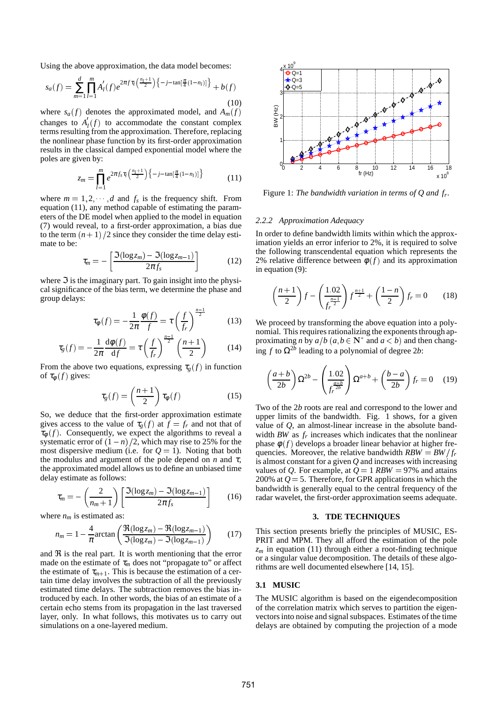Using the above approximation, the data model becomes:

$$
s_a(f) = \sum_{m=1}^d \prod_{l=1}^m A'_l(f) e^{2\pi f \tau_l\left(\frac{n_l+1}{2}\right)\left\{-j-\tan\left[\frac{\pi}{4}(1-n_l)\right]\right\}} + b(f)
$$
\n(10)

where  $s_a(f)$  denotes the approximated model, and  $A_m(f)$ changes to  $A_l(f)$  to accommodate the constant complex terms resulting from the approximation. Therefore, replacing the nonlinear phase function by its first-order approximation results in the classical damped exponential model where the poles are given by:

$$
z_m = \prod_{l=1}^m e^{2\pi f_s \tau_l \left(\frac{n_l+1}{2}\right) \left\{-j-\tan[\frac{\pi}{4}(1-n_l)]\right\}} \tag{11}
$$

where  $m = 1, 2, \dots, d$  and  $f_s$  is the frequency shift. From equation (11), any method capable of estimating the parameters of the DE model when applied to the model in equation (7) would reveal, to a first-order approximation, a bias due to the term  $(n + 1)$  /2 since they consider the time delay estimate to be:

$$
\tau_m = -\left[\frac{\Im(\log z_m) - \Im(\log z_{m-1})}{2\pi f_s}\right] \tag{12}
$$

where  $\Im$  is the imaginary part. To gain insight into the physical significance of the bias term, we determine the phase and group delays:

$$
\tau_{\phi}(f) = -\frac{1}{2\pi} \frac{\phi(f)}{f} = \tau \left(\frac{f}{f_r}\right)^{\frac{n-1}{2}} \tag{13}
$$

$$
\tau_g(f) = -\frac{1}{2\pi} \frac{\mathrm{d}\phi(f)}{\mathrm{d}f} = \tau \left(\frac{f}{f_r}\right)^{\frac{n-1}{2}} \left(\frac{n+1}{2}\right) \tag{14}
$$

From the above two equations, expressing  $\tau_g(f)$  in function of  $\tau_{\phi}(f)$  gives:

$$
\tau_g(f) = \left(\frac{n+1}{2}\right) \tau_\phi(f) \tag{15}
$$

So, we deduce that the first-order approximation estimate gives access to the value of  $\tau_g(f)$  at  $f = f_r$  and not that of  $\tau_{\phi}(f)$ . Consequently, we expect the algorithms to reveal a systematic error of  $(1 - n)/2$ , which may rise to 25% for the most dispersive medium (i.e. for  $Q = 1$ ). Noting that both the modulus and argument of the pole depend on  $n$  and  $\tau$ , the approximated model allows us to define an unbiased time delay estimate as follows:

$$
\tau_m = -\left(\frac{2}{n_m+1}\right) \left[\frac{\Im(\log z_m) - \Im(\log z_{m-1})}{2\pi f_s}\right] \tag{16}
$$

where  $n_m$  is estimated as:

$$
n_m = 1 - \frac{4}{\pi} \arctan\left(\frac{\Re(\log z_m) - \Re(\log z_{m-1})}{\Im(\log z_m) - \Im(\log z_{m-1})}\right) \tag{17}
$$

and  $\Re$  is the real part. It is worth mentioning that the error made on the estimate of  $\tau_m$  does not "propagate to" or affect the estimate of  $\tau_{m+1}$ . This is because the estimation of a certain time delay involves the subtraction of all the previously estimated time delays. The subtraction removes the bias introduced by each. In other words, the bias of an estimate of a certain echo stems from its propagation in the last traversed layer, only. In what follows, this motivates us to carry out simulations on a one-layered medium.



Figure 1: *The bandwidth variation in terms of Q and f<sup>r</sup> .*

### *2.2.2 Approximation Adequacy*

 $\overline{\phantom{a}}$ 

 $\overline{\phantom{a}}$ 

In order to define bandwidth limits within which the approximation yields an error inferior to 2%, it is required to solve the following transcendental equation which represents the 2% relative difference between  $\phi(f)$  and its approximation in equation (9):

!

$$
\left(\frac{n+1}{2}\right)f - \left(\frac{1.02}{f_r^{\frac{n-1}{2}}}\right)f^{\frac{n+1}{2}} + \left(\frac{1-n}{2}\right)f_r = 0 \qquad (18)
$$

We proceed by transforming the above equation into a polynomial. This requires rationalizing the exponents through approximating *n* by  $a/b$  ( $a, b \in \mathbb{N}^*$  and  $a < b$ ) and then changing *f* to Ω2*<sup>b</sup>* leading to a polynomial of degree 2*b*:

 $\sim$ 

$$
\left(\frac{a+b}{2b}\right)\Omega^{2b} - \left(\frac{1.02}{f_r^{\frac{a-b}{2b}}}\right)\Omega^{a+b} + \left(\frac{b-a}{2b}\right)f_r = 0 \quad (19)
$$

Two of the 2*b* roots are real and correspond to the lower and upper limits of the bandwidth. Fig. 1 shows, for a given value of *Q*, an almost-linear increase in the absolute bandwidth  $BW$  as  $f_r$  increases which indicates that the nonlinear phase  $\phi(f)$  develops a broader linear behavior at higher frequencies. Moreover, the relative bandwidth  $RBW = BW/f_r$ is almost constant for a given *Q* and increases with increasing values of *Q*. For example, at  $Q = 1$  *RBW* = 97% and attains 200% at  $Q = 5$ . Therefore, for GPR applications in which the bandwidth is generally equal to the central frequency of the radar wavelet, the first-order approximation seems adequate.

#### **3. TDE TECHNIQUES**

This section presents briefly the principles of MUSIC, ES-PRIT and MPM. They all afford the estimation of the pole  $z_m$  in equation (11) through either a root-finding technique or a singular value decomposition. The details of these algorithms are well documented elsewhere [14, 15].

# **3.1 MUSIC**

The MUSIC algorithm is based on the eigendecomposition of the correlation matrix which serves to partition the eigenvectors into noise and signal subspaces. Estimates of the time delays are obtained by computing the projection of a mode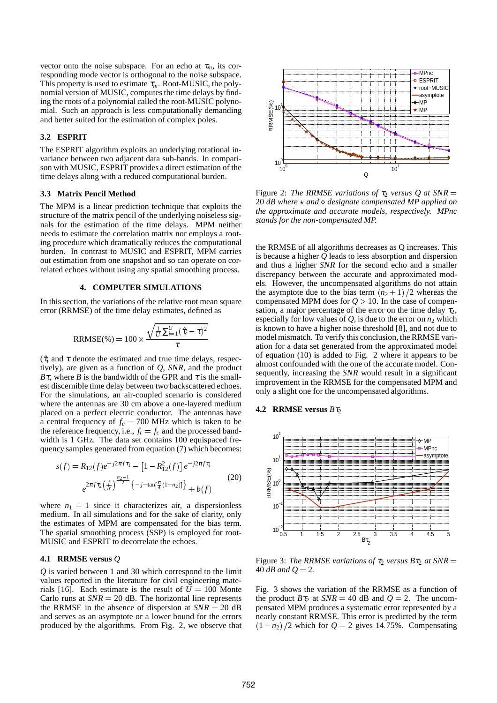vector onto the noise subspace. For an echo at  $\tau_m$ , its corresponding mode vector is orthogonal to the noise subspace. This property is used to estimate  $\tau_m$ . Root-MUSIC, the polynomial version of MUSIC, computes the time delays by finding the roots of a polynomial called the root-MUSIC polynomial. Such an approach is less computationally demanding and better suited for the estimation of complex poles.

# **3.2 ESPRIT**

The ESPRIT algorithm exploits an underlying rotational invariance between two adjacent data sub-bands. In comparison with MUSIC, ESPRIT provides a direct estimation of the time delays along with a reduced computational burden.

#### **3.3 Matrix Pencil Method**

The MPM is a linear prediction technique that exploits the structure of the matrix pencil of the underlying noiseless signals for the estimation of the time delays. MPM neither needs to estimate the correlation matrix nor employs a rooting procedure which dramatically reduces the computational burden. In contrast to MUSIC and ESPRIT, MPM carries out estimation from one snapshot and so can operate on correlated echoes without using any spatial smoothing process.

### **4. COMPUTER SIMULATIONS**

In this section, the variations of the relative root mean square error (RRMSE) of the time delay estimates, defined as

$$
RRMSE(\%) = 100 \times \frac{\sqrt{\frac{1}{U} \sum_{i=1}^{U} (\hat{\tau}_i - \tau)^2}}{\tau}
$$

 $(\hat{\tau}_i$  and  $\tau$  denote the estimated and true time delays, respectively), are given as a function of *Q*, *SNR*, and the product *B*τ, where *B* is the bandwidth of the GPR and  $\tau$  is the smallest discernible time delay between two backscattered echoes. For the simulations, an air-coupled scenario is considered where the antennas are 30 cm above a one-layered medium placed on a perfect electric conductor. The antennas have a central frequency of  $f_c = 700$  MHz which is taken to be the reference frequency, i.e.,  $f_r = f_c$  and the processed bandwidth is 1 GHz. The data set contains 100 equispaced frequency samples generated from equation (7) which becomes:

$$
s(f) = R_{12}(f)e^{-j2\pi f\tau_1} - [1 - R_{12}^2(f)]e^{-j2\pi f\tau_1}
$$
  

$$
e^{2\pi f\tau_2\left(\frac{f}{f_r}\right)^{\frac{n_2-1}{2}}} \{-j-\tan[\frac{\pi}{4}(1-n_2)]\} + b(f)
$$
 (20)

where  $n_1 = 1$  since it characterizes air, a dispersionless medium. In all simulations and for the sake of clarity, only the estimates of MPM are compensated for the bias term. The spatial smoothing process (SSP) is employed for root-MUSIC and ESPRIT to decorrelate the echoes.

### **4.1 RRMSE versus** *Q*

*Q* is varied between 1 and 30 which correspond to the limit values reported in the literature for civil engineering materials [16]. Each estimate is the result of  $U = 100$  Monte Carlo runs at  $SNR = 20$  dB. The horizontal line represents the RRMSE in the absence of dispersion at  $SNR = 20$  dB and serves as an asymptote or a lower bound for the errors produced by the algorithms. From Fig. 2, we observe that



Figure 2: *The RRMSE variations of*  $\tau_2$  *versus Q at SNR* = 20  $dB$  where  $\star$  and  $\circ$  designate compensated MP applied on *the approximate and accurate models, respectively. MPnc stands for the non-compensated MP.*

the RRMSE of all algorithms decreases as Q increases. This is because a higher *Q* leads to less absorption and dispersion and thus a higher *SNR* for the second echo and a smaller discrepancy between the accurate and approximated models. However, the uncompensated algorithms do not attain the asymptote due to the bias term  $(n_2 + 1)/2$  whereas the compensated MPM does for  $Q > 10$ . In the case of compensation, a major percentage of the error on the time delay  $\tau_2$ , especially for low values of  $Q$ , is due to the error on  $n_2$  which is known to have a higher noise threshold [8], and not due to model mismatch. To verify this conclusion, the RRMSE variation for a data set generated from the approximated model of equation (10) is added to Fig. 2 where it appears to be almost confounded with the one of the accurate model. Consequently, increasing the *SNR* would result in a significant improvement in the RRMSE for the compensated MPM and only a slight one for the uncompensated algorithms.

#### **4.2 RRMSE versus**  $B\tau_2$



Figure 3: *The RRMSE variations of*  $\tau_2$  *versus B* $\tau_2$  *at SNR* = 40  $dB$  and  $Q = 2$ .

Fig. 3 shows the variation of the RRMSE as a function of the product  $B\tau_2$  at  $SNR = 40$  dB and  $Q = 2$ . The uncompensated MPM produces a systematic error represented by a nearly constant RRMSE. This error is predicted by the term  $(1 - n_2)/2$  which for  $Q = 2$  gives 14.75%. Compensating